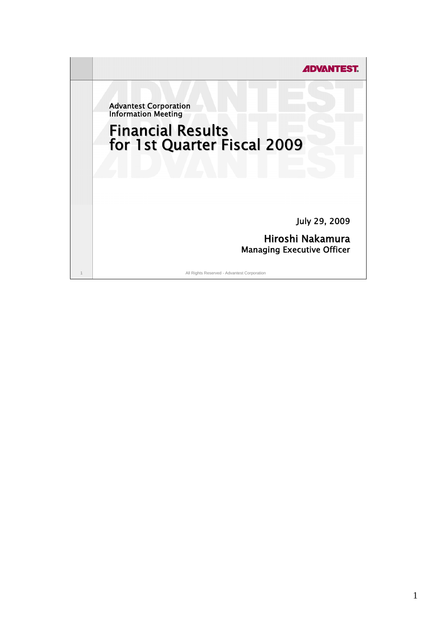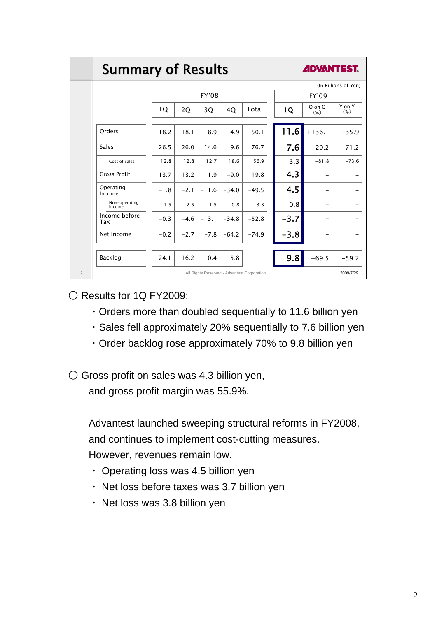|                | <b>Summary of Results</b> |        | <b>ADVANTEST.</b> |         |         |                                             |        |                  |                  |
|----------------|---------------------------|--------|-------------------|---------|---------|---------------------------------------------|--------|------------------|------------------|
|                |                           |        |                   |         |         | (In Billions of Yen)                        |        |                  |                  |
|                |                           | FY'08  |                   |         |         | <b>FY'09</b>                                |        |                  |                  |
|                |                           | 10     | 2Q                | 3Q      | 4Q      | Total                                       | 1Q     | Q on Q<br>$(\%)$ | Y on Y<br>$(\%)$ |
|                | Orders                    | 18.2   | 18.1              | 8.9     | 4.9     | 50.1                                        | 11.6   | $+136.1$         | $-35.9$          |
|                | Sales                     | 26.5   | 26.0              | 14.6    | 9.6     | 76.7                                        | 7.6    | $-20.2$          | $-71.2$          |
|                | Cost of Sales             | 12.8   | 12.8              | 12.7    | 18.6    | 56.9                                        | 3.3    | $-81.8$          | $-73.6$          |
|                | <b>Gross Profit</b>       | 13.7   | 13.2              | 1.9     | $-9.0$  | 19.8                                        | 4.3    |                  |                  |
|                | Operating<br>Income       | $-1.8$ | $-2.1$            | $-11.6$ | $-34.0$ | $-49.5$                                     | $-4.5$ |                  |                  |
|                | Non-operating<br>Income   | 1.5    | $-2.5$            | $-1.5$  | $-0.8$  | $-3.3$                                      | 0.8    |                  |                  |
|                | Income before<br>Tax      | $-0.3$ | $-4.6$            | $-13.1$ | $-34.8$ | $-52.8$                                     | $-3.7$ |                  |                  |
|                | Net Income                | $-0.2$ | $-2.7$            | $-7.8$  | $-64.2$ | $-74.9$                                     | $-3.8$ |                  |                  |
|                | Backlog                   | 24.1   | 16.2              | 10.4    | 5.8     |                                             | 9.8    | $+69.5$          | $-59.2$          |
| $\overline{2}$ |                           |        |                   |         |         | All Rights Reserved - Advantest Corporation |        |                  | 2009/7/29        |

 $\bigcirc$  Results for 1Q FY2009:

- ・Orders more than doubled sequentially to 11.6 billion yen
- ・Sales fell approximately 20% sequentially to 7.6 billion yen
- ・Order backlog rose approximately 70% to 9.8 billion yen
- Gross profit on sales was 4.3 billion yen, and gross profit margin was 55.9%.

Advantest launched sweeping structural reforms in FY2008, and continues to implement cost-cutting measures. However, revenues remain low.

- ・ Operating loss was 4.5 billion yen
- ・ Net loss before taxes was 3.7 billion yen
- 
- ・ Net loss was 3.8 billion yen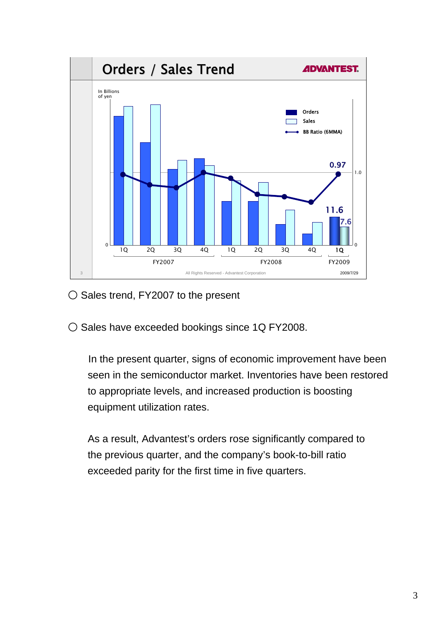

- Sales trend, FY2007 to the present
- O Sales have exceeded bookings since 1Q FY2008.

In the present quarter, signs of economic improvement have been seen in the semiconductor market. Inventories have been restored to appropriate levels, and increased production is boosting equipment utilization rates.

As a result, Advantest's orders rose significantly compared to the previous quarter, and the company's book-to-bill ratio exceeded parity for the first time in five quarters.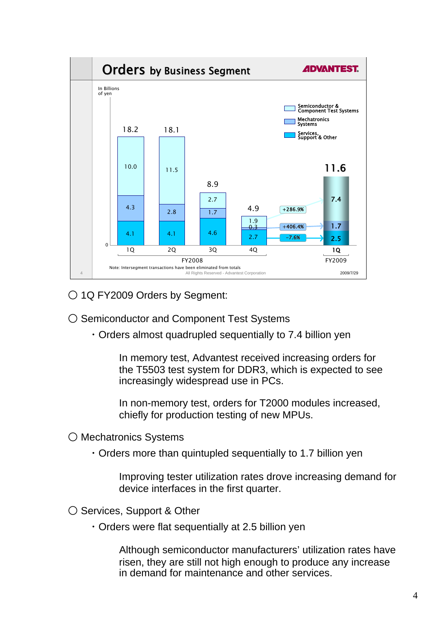

○ 1Q FY2009 Orders by Segment:

- Semiconductor and Component Test Systems
	- ・Orders almost quadrupled sequentially to 7.4 billion yen

In memory test, Advantest received increasing orders for the T5503 test system for DDR3, which is expected to see increasingly widespread use in PCs.

In non-memory test, orders for T2000 modules increased, chiefly for production testing of new MPUs.

- Mechatronics Systems
	- ・Orders more than quintupled sequentially to 1.7 billion yen

Improving tester utilization rates drove increasing demand for device interfaces in the first quarter.

- Services, Support & Other
	- ・Orders were flat sequentially at 2.5 billion yen

Although semiconductor manufacturers' utilization rates have risen, they are still not high enough to produce any increase in demand for maintenance and other services.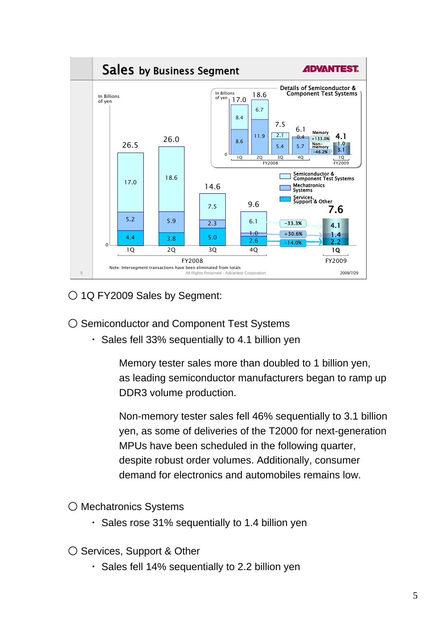

○ 1Q FY2009 Sales by Segment:

- Semiconductor and Component Test Systems
	- ・ Sales fell 33% sequentially to 4.1 billion yen

Memory tester sales more than doubled to 1 billion yen, as leading semiconductor manufacturers began to ramp up DDR3 volume production.

Non-memory tester sales fell 46% sequentially to 3.1 billion yen, as some of deliveries of the T2000 for next-generation MPUs have been scheduled in the following quarter, despite robust order volumes. Additionally, consumer demand for electronics and automobiles remains low.

○ Mechatronics Systems

- ・ Sales rose 31% sequentially to 1.4 billion yen
- Services, Support & Other
	- ・ Sales fell 14% sequentially to 2.2 billion yen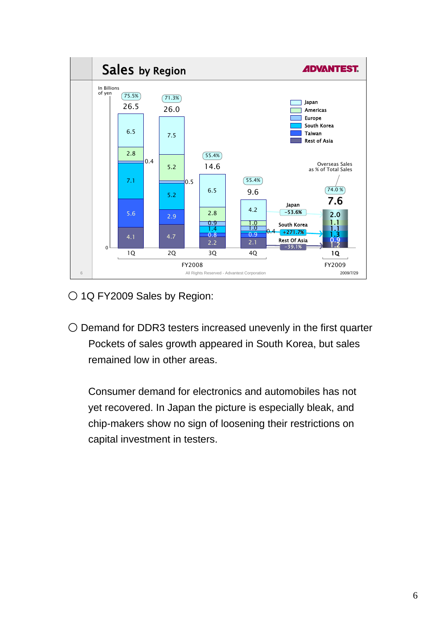

○ 1Q FY2009 Sales by Region:

○ Demand for DDR3 testers increased unevenly in the first quarter Pockets of sales growth appeared in South Korea, but sales remained low in other areas.

Consumer demand for electronics and automobiles has not yet recovered. In Japan the picture is especially bleak, and chip-makers show no sign of loosening their restrictions on capital investment in testers.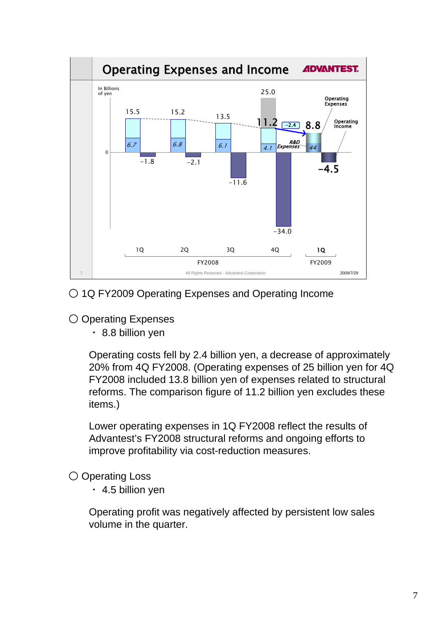

○ 1Q FY2009 Operating Expenses and Operating Income

- Operating Expenses
	- ・ 8.8 billion yen

Operating costs fell by 2.4 billion yen, a decrease of approximately 20% from 4Q FY2008. (Operating expenses of 25 billion yen for 4Q FY2008 included 13.8 billion yen of expenses related to structural reforms. The comparison figure of 11.2 billion yen excludes these items.)

Lower operating expenses in 1Q FY2008 reflect the results of Advantest's FY2008 structural reforms and ongoing efforts to improve profitability via cost-reduction measures.

○ Operating Loss

 $\cdot$  4.5 billion yen

Operating profit was negatively affected by persistent low sales volume in the quarter.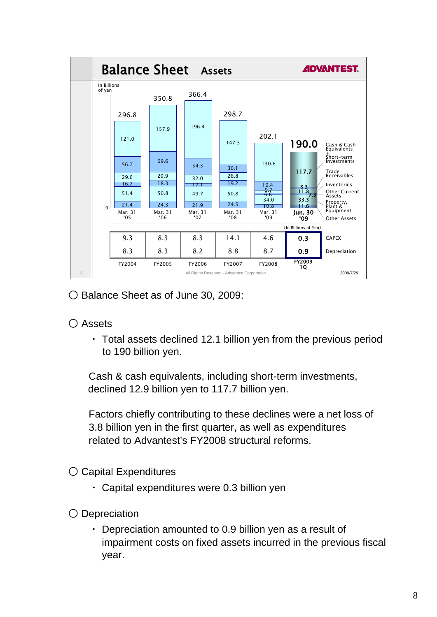

○ Balance Sheet as of June 30, 2009:

# ○ Assets

・ Total assets declined 12.1 billion yen from the previous period to 190 billion yen.

Cash & cash equivalents, including short-term investments, declined 12.9 billion yen to 117.7 billion yen.

Factors chiefly contributing to these declines were a net loss of 3.8 billion yen in the first quarter, as well as expenditures related to Advantest's FY2008 structural reforms.

○ Capital Expenditures

- ・ Capital expenditures were 0.3 billion yen
- Depreciation
	- ・ Depreciation amounted to 0.9 billion yen as a result of impairment costs on fixed assets incurred in the previous fiscal year.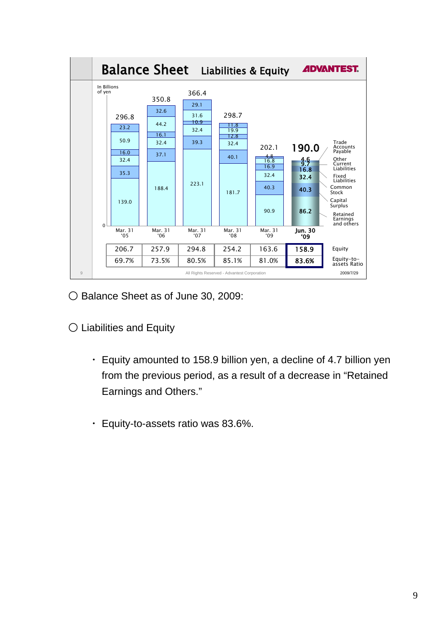

○ Balance Sheet as of June 30, 2009:

- Liabilities and Equity
	- ・ Equity amounted to 158.9 billion yen, a decline of 4.7 billion yen from the previous period, as a result of a decrease in "Retained Earnings and Others."
	- ・ Equity-to-assets ratio was 83.6%.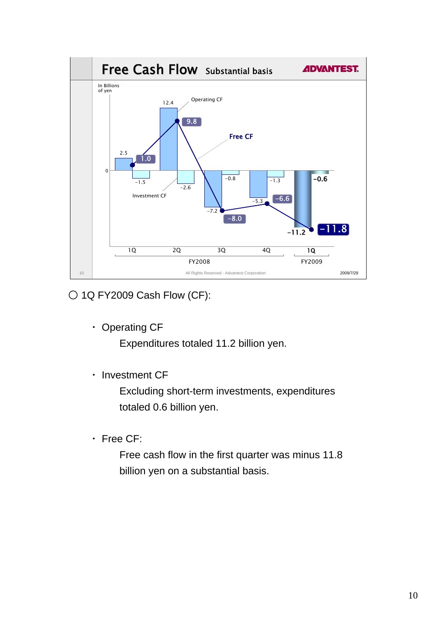

○ 1Q FY2009 Cash Flow (CF):

・ Operating CF

Expenditures totaled 11.2 billion yen.

・ Investment CF

Excluding short-term investments, expenditures totaled 0.6 billion yen.

・ Free CF:

Free cash flow in the first quarter was minus 11.8 billion yen on a substantial basis.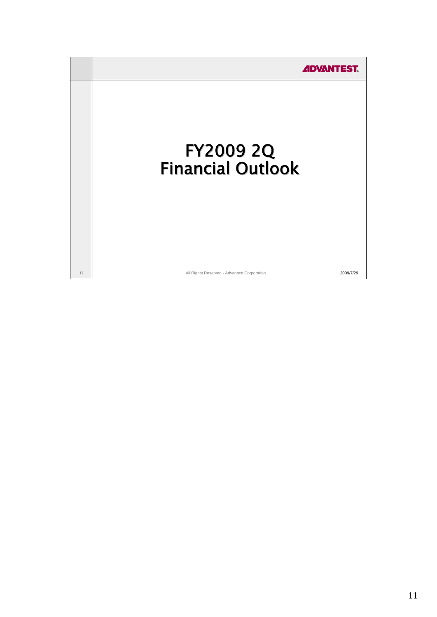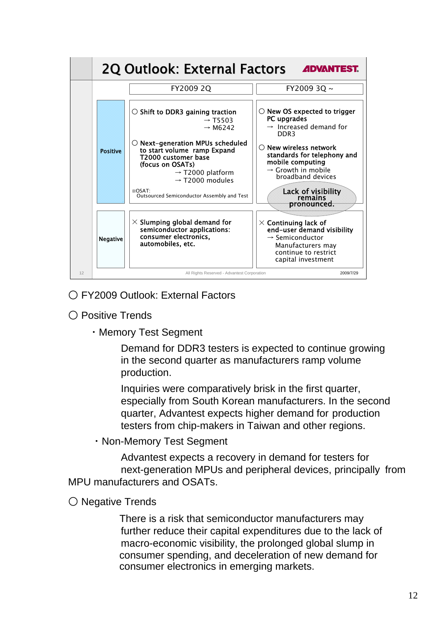

# ○ FY2009 Outlook: External Factors

- Positive Trends
	- ・Memory Test Segment

Demand for DDR3 testers is expected to continue growing in the second quarter as manufacturers ramp volume production.

Inquiries were comparatively brisk in the first quarter, especially from South Korean manufacturers. In the second quarter, Advantest expects higher demand for production testers from chip-makers in Taiwan and other regions.

・Non-Memory Test Segment

Advantest expects a recovery in demand for testers for next-generation MPUs and peripheral devices, principally from MPU manufacturers and OSATs.

○ Negative Trends

There is a risk that semiconductor manufacturers may further reduce their capital expenditures due to the lack of macro-economic visibility, the prolonged global slump in consumer spending, and deceleration of new demand for consumer electronics in emerging markets.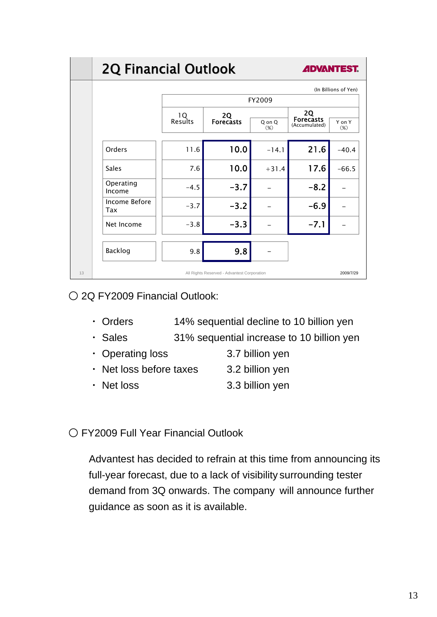# **2Q Financial Outlook**



|                      | (In Billions of Yen) |                                             |                  |                                                |                  |  |  |  |  |  |
|----------------------|----------------------|---------------------------------------------|------------------|------------------------------------------------|------------------|--|--|--|--|--|
|                      | FY2009               |                                             |                  |                                                |                  |  |  |  |  |  |
|                      | 10<br>Results        | <b>2Q</b><br><b>Forecasts</b>               | Q on Q<br>$(\%)$ | <b>2Q</b><br><b>Forecasts</b><br>(Accumulated) | Y on Y<br>$(\%)$ |  |  |  |  |  |
| Orders               | 11.6                 | 10.0                                        | $-14.1$          | 21.6                                           | $-40.4$          |  |  |  |  |  |
| <b>Sales</b>         | 7.6                  | 10.0                                        | $+31.4$          | 17.6                                           | $-66.5$          |  |  |  |  |  |
| Operating<br>Income  | $-4.5$               | $-3.7$                                      |                  | $-8.2$                                         |                  |  |  |  |  |  |
| Income Before<br>Tax | $-3.7$               | $-3.2$                                      |                  | $-6.9$                                         |                  |  |  |  |  |  |
| Net Income           | $-3.8$               | $-3.3$                                      |                  | $-7.1$                                         |                  |  |  |  |  |  |
| Backlog              | 9.8                  | 9.8                                         |                  |                                                |                  |  |  |  |  |  |
| 13                   |                      | All Rights Reserved - Advantest Corporation |                  |                                                | 2009/7/29        |  |  |  |  |  |

○ 2Q FY2009 Financial Outlook:

- ・ Orders 14% sequential decline to 10 billion yen
- ・ Sales 31% sequential increase to 10 billion yen
- Operating loss 3.7 billion yen
- Net loss before taxes 3.2 billion yen
- Net loss 3.3 billion yen

○ FY2009 Full Year Financial Outlook

Advantest has decided to refrain at this time from announcing its full-year forecast, due to a lack of visibility surrounding tester demand from 3Q onwards. The company will announce further guidance as soon as it is available.